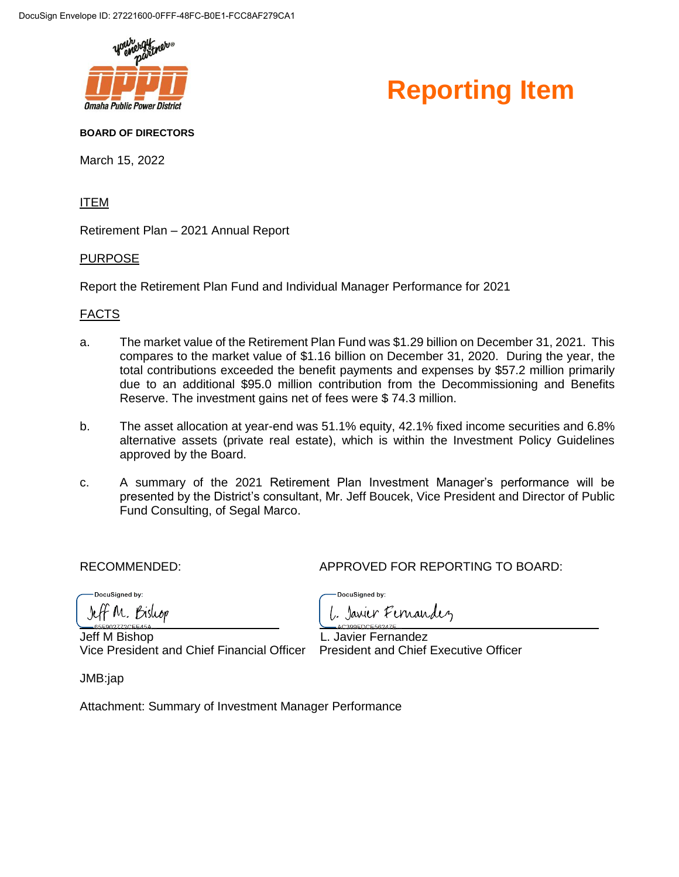



#### **BOARD OF DIRECTORS**

March 15, 2022

#### ITEM

Retirement Plan – 2021 Annual Report

#### PURPOSE

Report the Retirement Plan Fund and Individual Manager Performance for 2021

#### FACTS

- a. The market value of the Retirement Plan Fund was \$1.29 billion on December 31, 2021. This compares to the market value of \$1.16 billion on December 31, 2020. During the year, the total contributions exceeded the benefit payments and expenses by \$57.2 million primarily due to an additional \$95.0 million contribution from the Decommissioning and Benefits Reserve. The investment gains net of fees were \$ 74.3 million.
- b. The asset allocation at year-end was 51.1% equity, 42.1% fixed income securities and 6.8% alternative assets (private real estate), which is within the Investment Policy Guidelines approved by the Board.
- c. A summary of the 2021 Retirement Plan Investment Manager's performance will be presented by the District's consultant, Mr. Jeff Boucek, Vice President and Director of Public Fund Consulting, of Segal Marco.

DocuSianed by:

RECOMMENDED: APPROVED FOR REPORTING TO BOARD:

DocuSianed by:

F M. Bishop

Jeff M Bishop L. Javier Fernandez Vice President and Chief Financial Officer President and Chief Executive Officer

Javier Fernandez

JMB:jap

Attachment: Summary of Investment Manager Performance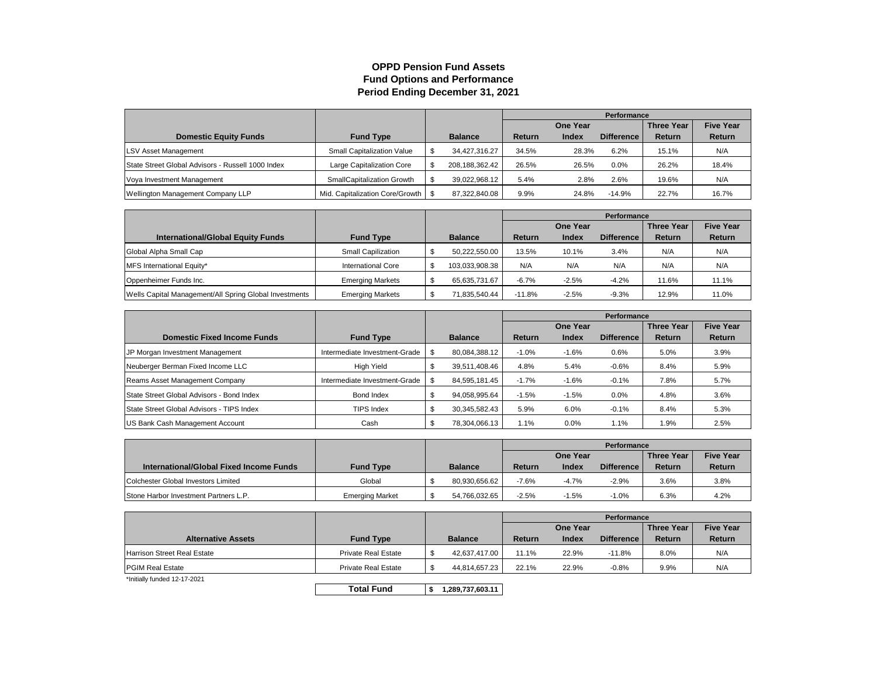#### **OPPD Pension Fund Assets Fund Options and Performance Period Ending December 31, 2021**

|                                                   |                                      |                |         |                 | Performance       |                   |                  |  |
|---------------------------------------------------|--------------------------------------|----------------|---------|-----------------|-------------------|-------------------|------------------|--|
|                                                   |                                      |                |         | <b>One Year</b> |                   | <b>Three Year</b> | <b>Five Year</b> |  |
| <b>Domestic Equity Funds</b>                      | <b>Fund Type</b>                     | <b>Balance</b> | Return  | Index           | <b>Difference</b> | Return            | <b>Return</b>    |  |
| <b>LSV Asset Management</b>                       | <b>Small Capitalization Value</b>    | 34.427.316.27  | 34.5%   | 28.3%           | 6.2%              | 15.1%             | N/A              |  |
| State Street Global Advisors - Russell 1000 Index | Large Capitalization Core            | 208.188.362.42 | 26.5%   | 26.5%           | 0.0%              | 26.2%             | 18.4%            |  |
| Voya Investment Management                        | SmallCapitalization Growth           | 39.022.968.12  | 5.4%    | 2.8%            | 2.6%              | 19.6%             | N/A              |  |
| Wellington Management Company LLP                 | Mid. Capitalization Core/Growth   \$ | 87.322.840.08  | $9.9\%$ | 24.8%           | $-14.9%$          | 22.7%             | 16.7%            |  |

|                                                        |                           |                |               |              | Performance       |                   |                  |  |
|--------------------------------------------------------|---------------------------|----------------|---------------|--------------|-------------------|-------------------|------------------|--|
|                                                        |                           |                |               | One Year     |                   | <b>Three Year</b> | <b>Five Year</b> |  |
| <b>International/Global Equity Funds</b>               | <b>Fund Type</b>          | <b>Balance</b> | <b>Return</b> | <b>Index</b> | <b>Difference</b> | Return            | <b>Return</b>    |  |
| Global Alpha Small Cap                                 | Small Capilization        | 50,222,550.00  | 13.5%         | 10.1%        | 3.4%              | N/A               | N/A              |  |
| MFS International Equity*                              | <b>International Core</b> | 103,033,908.38 | N/A           | N/A          | N/A               | N/A               | N/A              |  |
| Oppenheimer Funds Inc.                                 | <b>Emerging Markets</b>   | 65.635.731.67  | $-6.7%$       | $-2.5%$      | $-4.2%$           | 11.6%             | 11.1%            |  |
| Wells Capital Management/All Spring Global Investments | <b>Emerging Markets</b>   | 71.835.540.44  | $-11.8%$      | $-2.5%$      | $-9.3%$           | 12.9%             | 11.0%            |  |

|                                           |                               |   |                |               |                 | Performance       |                   |                  |
|-------------------------------------------|-------------------------------|---|----------------|---------------|-----------------|-------------------|-------------------|------------------|
|                                           |                               |   |                |               | <b>One Year</b> |                   | <b>Three Year</b> | <b>Five Year</b> |
| <b>Domestic Fixed Income Funds</b>        | <b>Fund Type</b>              |   | <b>Balance</b> | <b>Return</b> | Index           | <b>Difference</b> | <b>Return</b>     | Return           |
| JP Morgan Investment Management           | Intermediate Investment-Grade |   | 80,084,388.12  | $-1.0%$       | $-1.6%$         | 0.6%              | 5.0%              | 3.9%             |
| Neuberger Berman Fixed Income LLC         | High Yield                    | Œ | 39,511,408.46  | 4.8%          | 5.4%            | $-0.6%$           | 8.4%              | 5.9%             |
| Reams Asset Management Company            | Intermediate Investment-Grade |   | 84,595,181.45  | $-1.7%$       | $-1.6%$         | $-0.1%$           | 7.8%              | 5.7%             |
| State Street Global Advisors - Bond Index | Bond Index                    |   | 94,058,995.64  | $-1.5%$       | $-1.5%$         | 0.0%              | 4.8%              | 3.6%             |
| State Street Global Advisors - TIPS Index | TIPS Index                    |   | 30,345,582.43  | 5.9%          | 6.0%            | $-0.1%$           | 8.4%              | 5.3%             |
| US Bank Cash Management Account           | Cash                          |   | 78,304,066.13  | 1.1%          | 0.0%            | 1.1%              | 1.9%              | 2.5%             |

|                                         |                        |                |         |                 | Performance       |                   |                  |
|-----------------------------------------|------------------------|----------------|---------|-----------------|-------------------|-------------------|------------------|
|                                         |                        |                |         | <b>One Year</b> |                   | <b>Three Year</b> | <b>Five Year</b> |
| International/Global Fixed Income Funds | <b>Fund Type</b>       | <b>Balance</b> | Return  | Index           | <b>Difference</b> | Return            | Return           |
| Colchester Global Investors Limited     | Global                 | 80.930.656.62  | $-7.6%$ | -4.7%           | $-2.9%$           | 3.6%              | 3.8%             |
| Stone Harbor Investment Partners L.P.   | <b>Emerging Market</b> | 54,766,032.65  | $-2.5%$ | $-1.5%$         | $-1.0%$           | 6.3%              | 4.2%             |

|                              |                            |                |        |                 | Performance       |                   |                  |  |
|------------------------------|----------------------------|----------------|--------|-----------------|-------------------|-------------------|------------------|--|
|                              |                            |                |        | <b>One Year</b> |                   | <b>Three Year</b> | <b>Five Year</b> |  |
| <b>Alternative Assets</b>    | <b>Fund Type</b>           | <b>Balance</b> | Return | <b>Index</b>    | <b>Difference</b> | Return            | Return           |  |
| Harrison Street Real Estate  | <b>Private Real Estate</b> | 42,637,417.00  | 11.1%  | 22.9%           | $-11.8%$          | 8.0%              | N/A              |  |
| <b>PGIM Real Estate</b>      | <b>Private Real Estate</b> | 44,814,657.23  | 22.1%  | 22.9%           | $-0.8%$           | 9.9%              | N/A              |  |
| *Initially funded 12-17-2021 |                            |                |        |                 |                   |                   |                  |  |

**Total Fund \$ 1,289,737,603.11**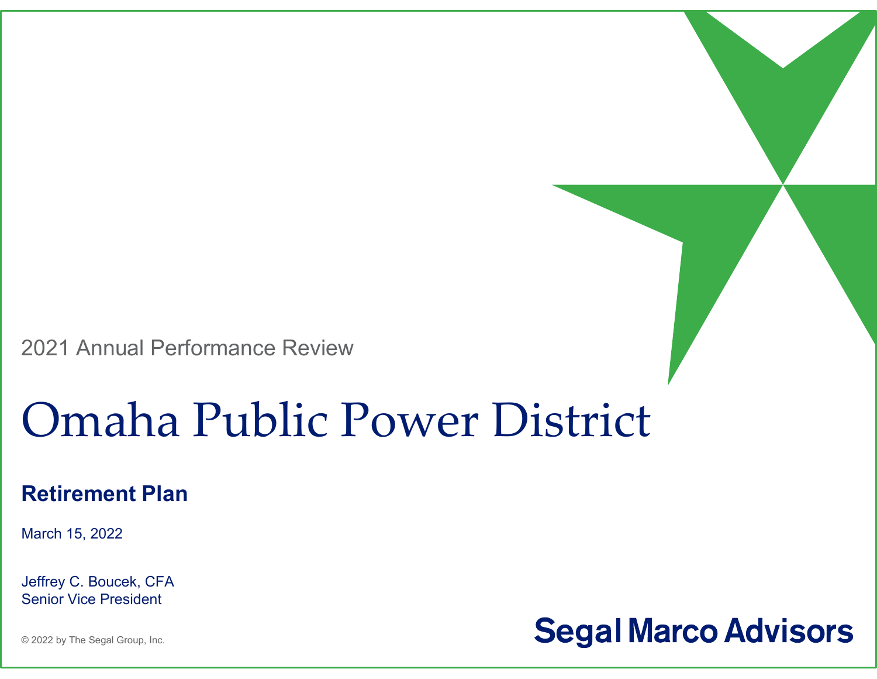2021 Annual Performance Review

# Omaha Public Power District

#### **Retirement Plan**

March 15, 2022

Jeffrey C. Boucek, CFA Senior Vice President

**Segal Marco Advisors** 

© 2022 by The Segal Group, Inc.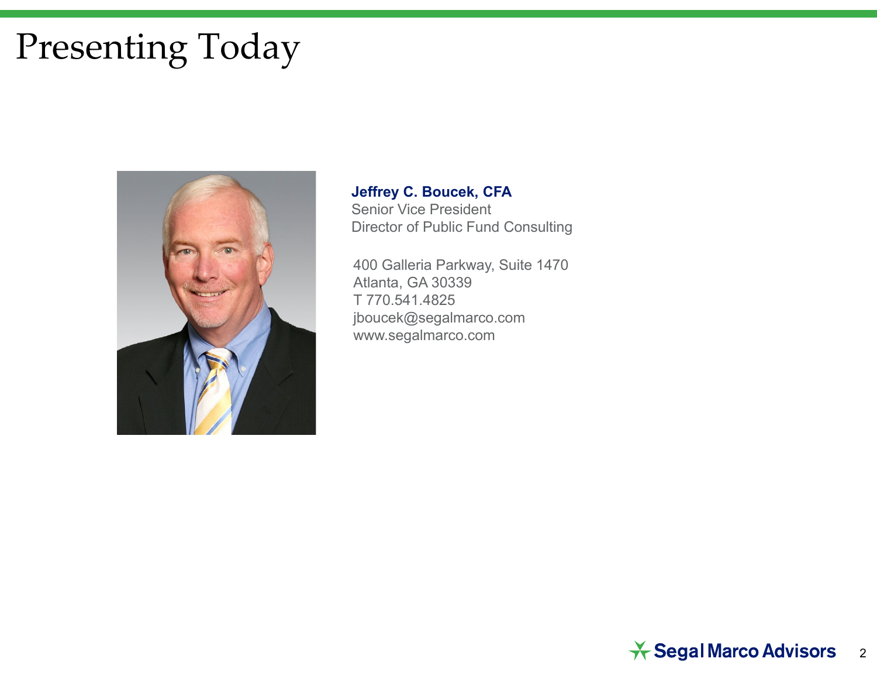# Presenting Today



**Jeffrey C. Boucek, CFA** Senior Vice President Director of Public Fund Consulting

400 Galleria Parkway, Suite 1470 Atlanta, GA 30339 T 770.541.4825jboucek@segalmarco.com www.segalmarco.com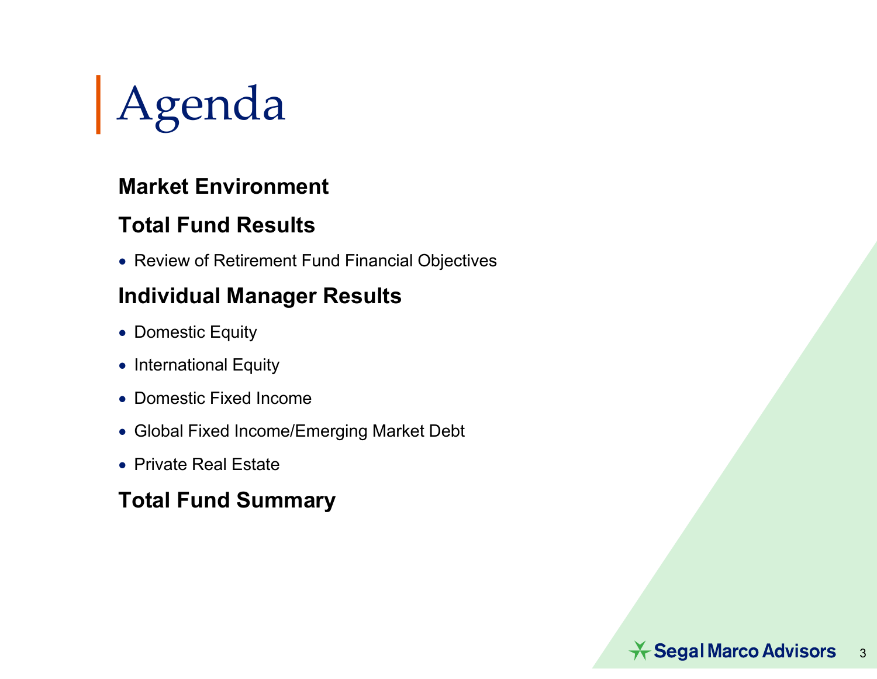

### **Market Environment**

### **Total Fund Results**

Review of Retirement Fund Financial Objectives

### **Individual Manager Results**

- Domestic Equity
- $\bullet\,$  International Equity
- Domestic Fixed Income
- Global Fixed Income/Emerging Market Debt
- Private Real Estate

### **Total Fund Summary**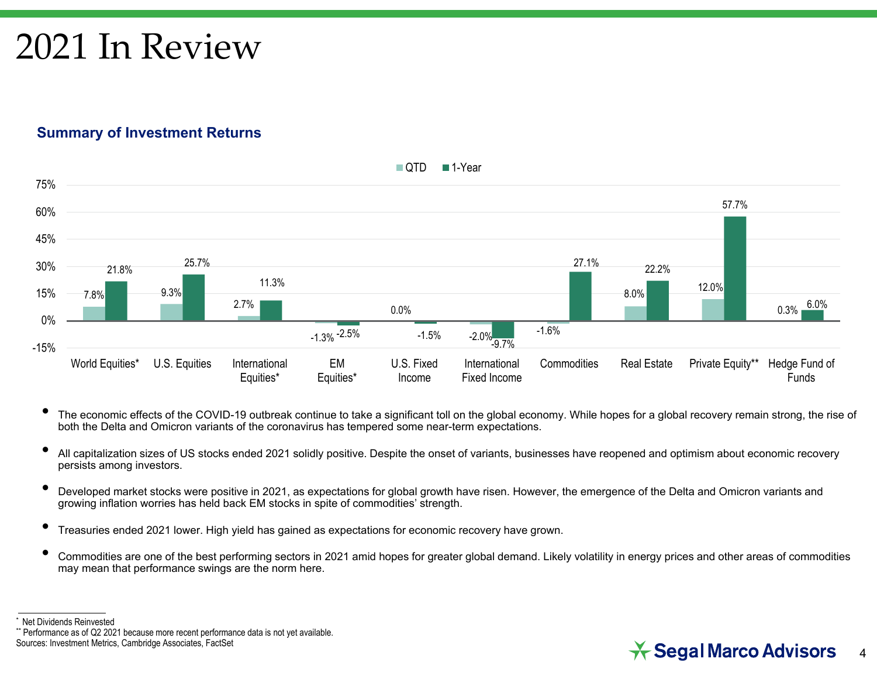## 2021 In Review

#### **Summary of Investment Returns**



- • The economic effects of the COVID-19 outbreak continue to take a significant toll on the global economy. While hopes for a global recovery remain strong, the rise of both the Delta and Omicron variants of the coronavirus has tempered some near-term expectations.
- • All capitalization sizes of US stocks ended 2021 solidly positive. Despite the onset of variants, businesses have reopened and optimism about economic recovery persists among investors.
- • Developed market stocks were positive in 2021, as expectations for global growth have risen. However, the emergence of the Delta and Omicron variants and growing inflation worries has held back EM stocks in spite of commodities' strength.
- •Treasuries ended 2021 lower. High yield has gained as expectations for economic recovery have grown.
- • Commodities are one of the best performing sectors in 2021 amid hopes for greater global demand. Likely volatility in energy prices and other areas of commodities may mean that performance swings are the norm here.

#### $\star$  Segal Marco Advisors 4

<sup>\*</sup> Net Dividends Reinvested

<sup>\*\*</sup> Performance as of Q2 2021 because more recent performance data is not yet available. Sources: Investment Metrics, Cambridge Associates, FactSet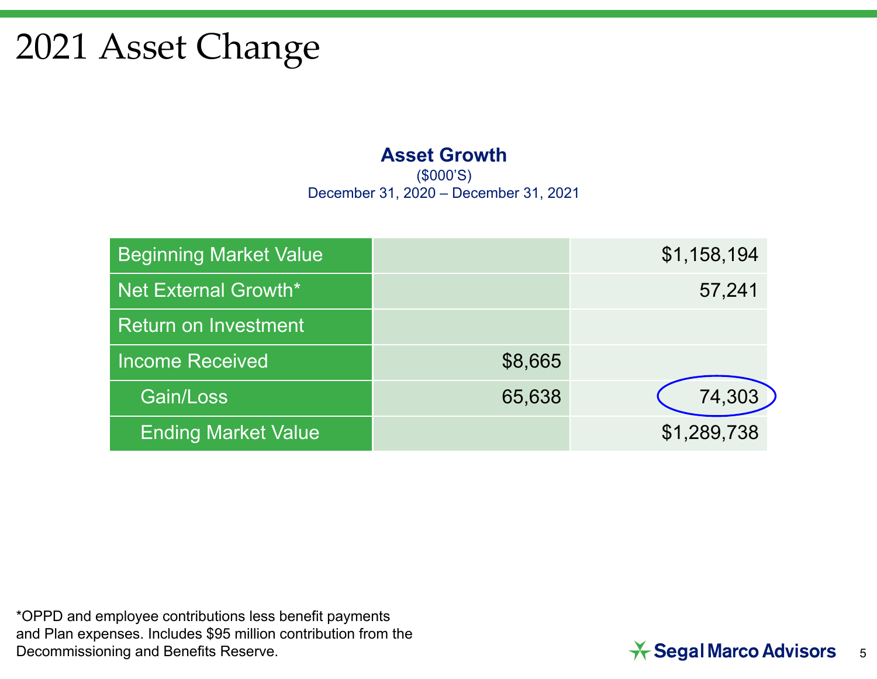## 2021 Asset Change

#### **Asset Growth**

(\$000'S) December 31, 2020 – December 31, 2021

| <b>Beginning Market Value</b> |         | \$1,158,194 |
|-------------------------------|---------|-------------|
| Net External Growth*          |         | 57,241      |
| Return on Investment          |         |             |
| <b>Income Received</b>        | \$8,665 |             |
| Gain/Loss                     | 65,638  | 74,303      |
| <b>Ending Market Value</b>    |         | \$1,289,738 |

\*OPPD and employee contributions less benefit payments and Plan expenses. Includes \$95 million contribution from the Decommissioning and Benefits Reserve.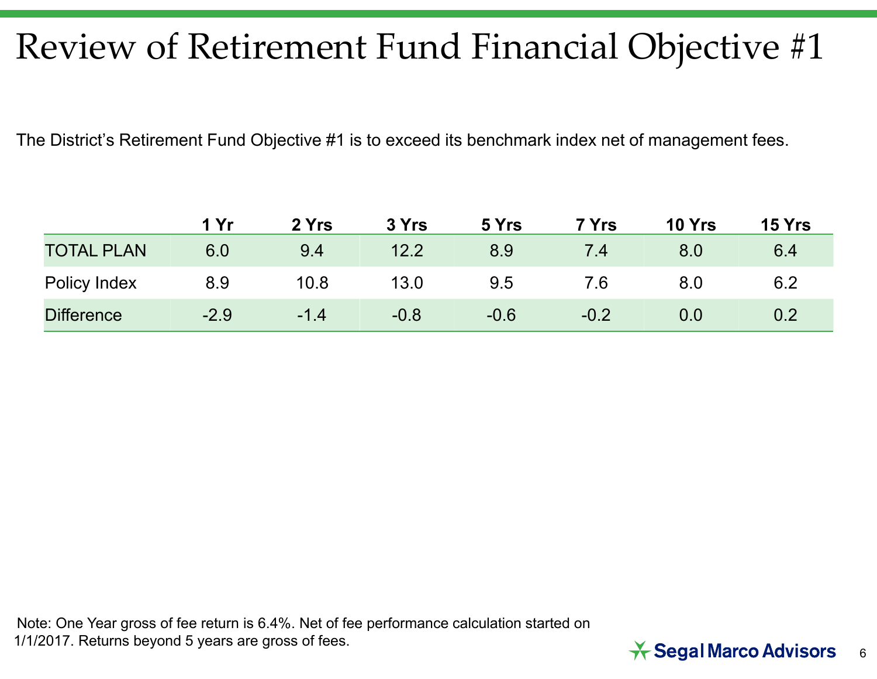# Review of Retirement Fund Financial Objective #1

The District's Retirement Fund Objective #1 is to exceed its benchmark index net of management fees.

|                   | 1 Yr   | 2 Yrs  | 3 Yrs  | 5 Yrs  | 7 Yrs  | <b>10 Yrs</b> | <b>15 Yrs</b> |
|-------------------|--------|--------|--------|--------|--------|---------------|---------------|
| <b>TOTAL PLAN</b> | 6.0    | 9.4    | 12.2   | 8.9    | 7.4    | 8.0           | 6.4           |
| Policy Index      | 8.9    | 10.8   | 13.0   | 9.5    | 7.6    | 8.0           | 6.2           |
| <b>Difference</b> | $-2.9$ | $-1.4$ | $-0.8$ | $-0.6$ | $-0.2$ | $0.0\,$       | 0.2           |

Note: One Year gross of fee return is 6.4%. Net of fee performance calculation started on 1/1/2017. Returns beyond 5 years are gross of fees.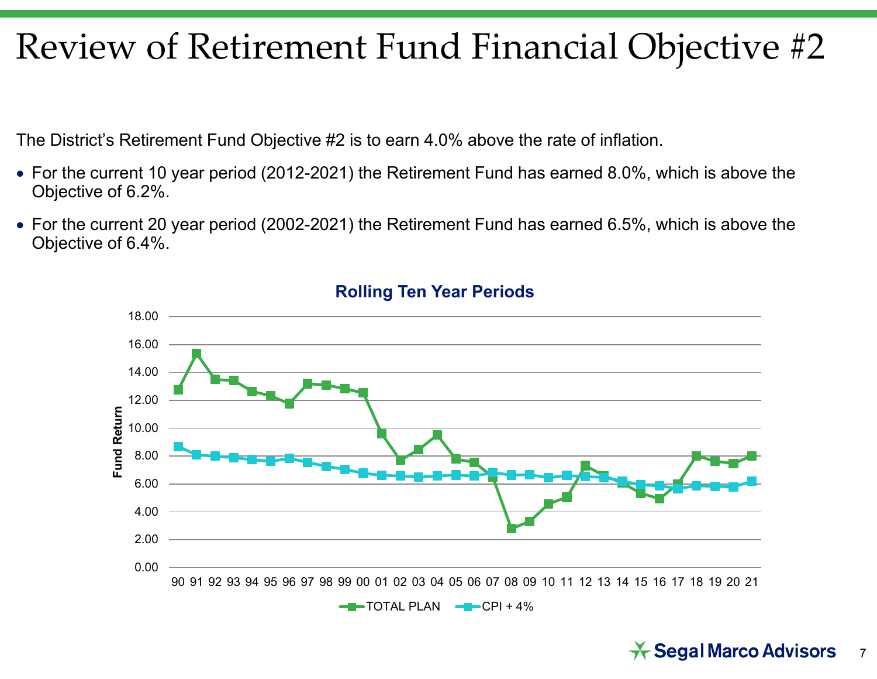## Review of Retirement Fund Financial Objective #2

The District's Retirement Fund Objective #2 is to earn 4.0% above the rate of inflation.

- For the current 10 year period (2012-2021) the Retirement Fund has earned 8.0%, which is above the Objective of 6.2%.
- For the current 20 year period (2002-2021) the Retirement Fund has earned 6.5%, which is above the Objective of 6.4%.



#### **Rolling Ten Year Periods**

#### $\star$  Segal Marco Advisors 7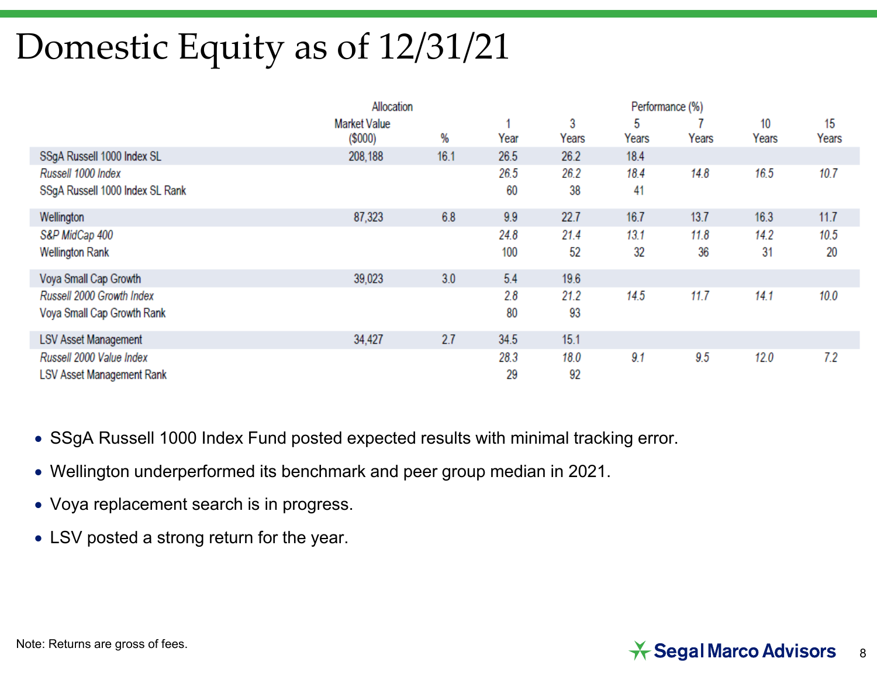# Domestic Equity as of 12/31/21

|                                 | Allocation                       |      |      |            |            |       |             |             |
|---------------------------------|----------------------------------|------|------|------------|------------|-------|-------------|-------------|
|                                 | <b>Market Value</b><br>$(\$000)$ | %    | Year | 3<br>Years | 5<br>Years | Years | 10<br>Years | 15<br>Years |
| SSgA Russell 1000 Index SL      | 208,188                          | 16.1 | 26.5 | 26.2       | 18.4       |       |             |             |
| Russell 1000 Index              |                                  |      | 26.5 | 26.2       | 18.4       | 14.8  | 16.5        | 10.7        |
| SSgA Russell 1000 Index SL Rank |                                  |      | 60   | 38         | 41         |       |             |             |
| Wellington                      | 87,323                           | 6.8  | 9.9  | 22.7       | 16.7       | 13.7  | 16.3        | 11.7        |
| S&P MidCap 400                  |                                  |      | 24.8 | 21.4       | 13.1       | 11.8  | 14.2        | 10.5        |
| <b>Wellington Rank</b>          |                                  |      | 100  | 52         | 32         | 36    | 31          | 20          |
| Voya Small Cap Growth           | 39,023                           | 3.0  | 5.4  | 19.6       |            |       |             |             |
| Russell 2000 Growth Index       |                                  |      | 2.8  | 21.2       | 14.5       | 11.7  | 14.1        | 10.0        |
| Voya Small Cap Growth Rank      |                                  |      | 80   | 93         |            |       |             |             |
| <b>LSV Asset Management</b>     | 34,427                           | 2.7  | 34.5 | 15.1       |            |       |             |             |
| Russell 2000 Value Index        |                                  |      | 28.3 | 18.0       | 9.1        | 9.5   | 12.0        | 7.2         |
| LSV Asset Management Rank       |                                  |      | 29   | 92         |            |       |             |             |

- SSgA Russell 1000 Index Fund posted expected results with minimal tracking error.
- Wellington underperformed its benchmark and peer group median in 2021.
- Voya replacement search is in progress.
- LSV posted a strong return for the year.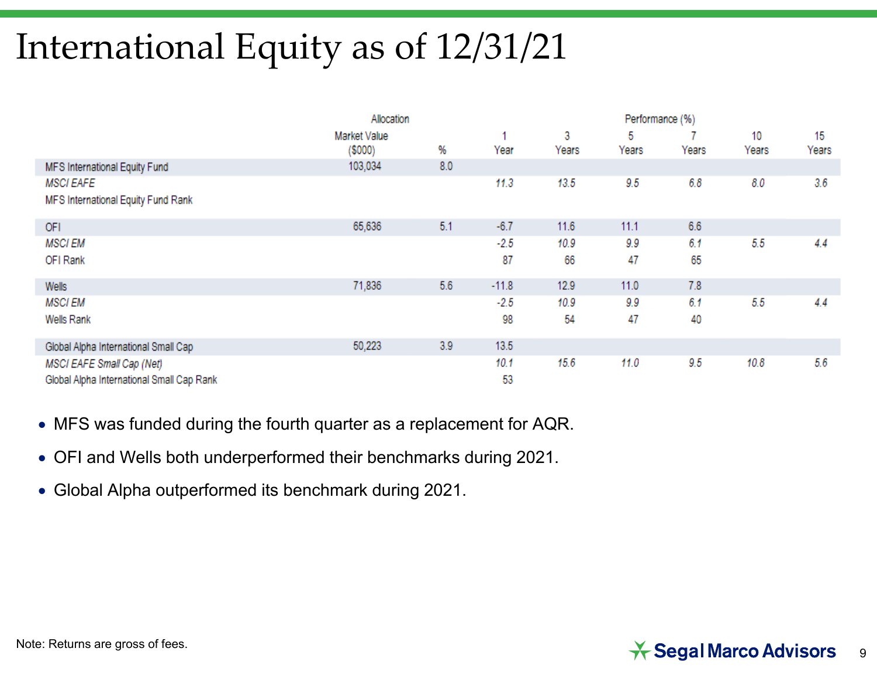# International Equity as of 12/31/21

|                                                        | Allocation                    |     |         | Performance (%) |            |       |             |             |
|--------------------------------------------------------|-------------------------------|-----|---------|-----------------|------------|-------|-------------|-------------|
|                                                        | Market Value<br>$($ \$000 $)$ | %   | Year    | 3<br>Years      | 5<br>Years | Years | 10<br>Years | 15<br>Years |
| MFS International Equity Fund                          | 103,034                       | 8.0 |         |                 |            |       |             |             |
| <b>MSCI EAFE</b><br>MFS International Equity Fund Rank |                               |     | 11.3    | 13.5            | 9.5        | 6.8   | 8.0         | 3.6         |
| OFI                                                    | 65,636                        | 5.1 | $-6.7$  | 11.6            | 11.1       | 6.6   |             |             |
| <b>MSCIEM</b>                                          |                               |     | $-2.5$  | 10.9            | 9.9        | 6.1   | 5.5         | 4.4         |
| OFI Rank                                               |                               |     | 87      | 66              | 47         | 65    |             |             |
| Wells                                                  | 71,836                        | 5.6 | $-11.8$ | 12.9            | 11.0       | 7.8   |             |             |
| <b>MSCIEM</b>                                          |                               |     | $-2.5$  | 10.9            | 9.9        | 6.1   | 5.5         | 4.4         |
| Wells Rank                                             |                               |     | 98      | 54              | 47         | 40    |             |             |
| Global Alpha International Small Cap                   | 50,223                        | 3.9 | 13.5    |                 |            |       |             |             |
| MSCI EAFE Small Cap (Net)                              |                               |     | 10.1    | 15.6            | 11.0       | 9.5   | 10.8        | 5.6         |
| Global Alpha International Small Cap Rank              |                               |     | 53      |                 |            |       |             |             |

- MFS was funded during the fourth quarter as a replacement for AQR.
- OFI and Wells both underperformed their benchmarks during 2021.
- Global Alpha outperformed its benchmark during 2021.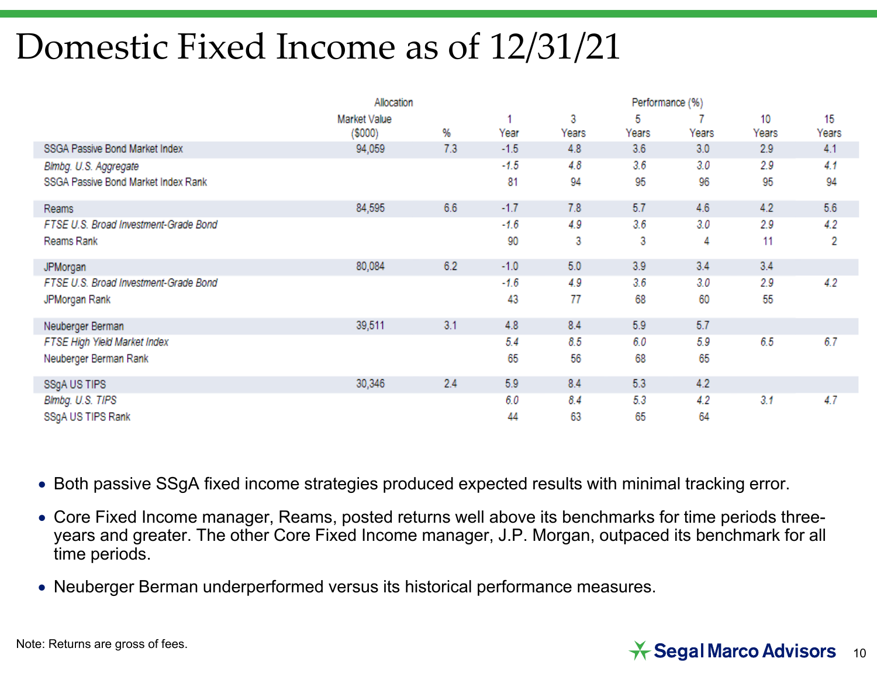## Domestic Fixed Income as of 12/31/21

|                                       | Allocation    |     |        |       |       |       |       |       |
|---------------------------------------|---------------|-----|--------|-------|-------|-------|-------|-------|
|                                       | Market Value  |     |        | 3     | 5     |       | 10    | 15    |
|                                       | $($ \$000 $)$ | %   | Year   | Years | Years | Years | Years | Years |
| SSGA Passive Bond Market Index        | 94,059        | 7.3 | $-1.5$ | 4.8   | 3.6   | 3.0   | 2.9   | 4.1   |
| Blmbg. U.S. Aggregate                 |               |     | $-1.5$ | 4.8   | 3.6   | 3.0   | 2.9   | 4.1   |
| SSGA Passive Bond Market Index Rank   |               |     | 81     | 94    | 95    | 96    | 95    | 94    |
| Reams                                 | 84,595        | 6.6 | $-1.7$ | 7.8   | 5.7   | 4.6   | 4.2   | 5.6   |
| FTSE U.S. Broad Investment-Grade Bond |               |     | $-1.6$ | 4.9   | 3.6   | 3.0   | 2.9   | 4.2   |
| Reams Rank                            |               |     | 90     | 3     | 3     | 4     | 11    | 2     |
| JPMorgan                              | 80,084        | 6.2 | $-1.0$ | 6.0   | 3.9   | 3.4   | 3.4   |       |
| FTSE U.S. Broad Investment-Grade Bond |               |     | $-1.6$ | 4.9   | 3.6   | 3.0   | 2.9   | 4.2   |
| JPMorgan Rank                         |               |     | 43     | 77    | 68    | 60    | 55    |       |
| Neuberger Berman                      | 39,511        | 3.1 | 4.8    | 8.4   | 5.9   | 5.7   |       |       |
| FTSE High Yield Market Index          |               |     | 5.4    | 8.5   | 6.0   | 5.9   | 6.5   | 6.7   |
| Neuberger Berman Rank                 |               |     | 65     | 56    | 68    | 65    |       |       |
| SSgA US TIPS                          | 30,346        | 2.4 | 5.9    | 8.4   | 5.3   | 4.2   |       |       |
| Blmbg. U.S. TIPS                      |               |     | 6.0    | 8.4   | 5.3   | 4.2   | 3.1   | 4.7   |
| SSgA US TIPS Rank                     |               |     | 44     | 63    | 65    | 64    |       |       |

Both passive SSgA fixed income strategies produced expected results with minimal tracking error.

- Core Fixed Income manager, Reams, posted returns well above its benchmarks for time periods threeyears and greater. The other Core Fixed Income manager, J.P. Morgan, outpaced its benchmark for all time periods.
- Neuberger Berman underperformed versus its historical performance measures.

#### $\star$  Segal Marco Advisors 10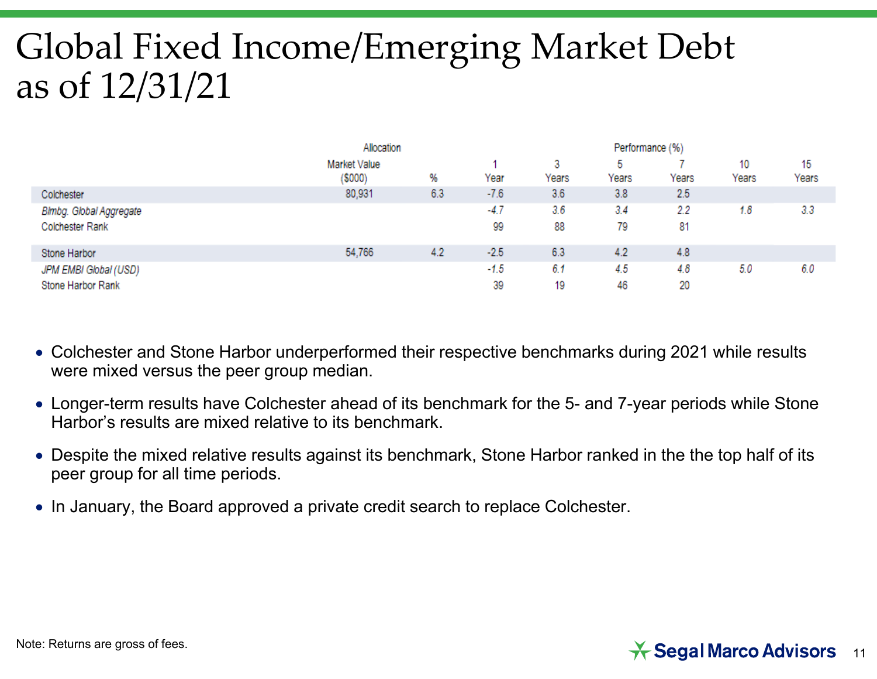# Global Fixed Income/Emerging Market Debt as of 12/31/21

|                         | Allocation              |     |        |            |            |       |             |             |
|-------------------------|-------------------------|-----|--------|------------|------------|-------|-------------|-------------|
|                         | Market Value<br>(\$000) | %   | Year   | 3<br>Years | b<br>Years | Years | 10<br>Years | 15<br>Years |
| Colchester              | 80,931                  | 6.3 | $-7.6$ | 3.6        | 3.8        | 2.5   |             |             |
| Blmbg. Global Aggregate |                         |     | $-4.7$ | 3.6        | 3.4        | 2.2   | 1.8         | 3.3         |
| Colchester Rank         |                         |     | 99     | 88         | 79         | 81    |             |             |
| Stone Harbor            | 54,766                  | 4.2 | $-2.5$ | 6.3        | 4.2        | 4.8   |             |             |
| JPM EMBI Global (USD)   |                         |     | $-1.5$ | 6.1        | 4.5        | 4.8   | 5.0         | 6.0         |
| Stone Harbor Rank       |                         |     | 39     | 19         | 46         | 20    |             |             |

- Colchester and Stone Harbor underperformed their respective benchmarks during 2021 while results were mixed versus the peer group median.
- Longer-term results have Colchester ahead of its benchmark for the 5- and 7-year periods while Stone Harbor's results are mixed relative to its benchmark.
- Despite the mixed relative results against its benchmark, Stone Harbor ranked in the the top half of its peer group for all time periods.
- $\bullet\,$  In January, the Board approved a private credit search to replace Colchester.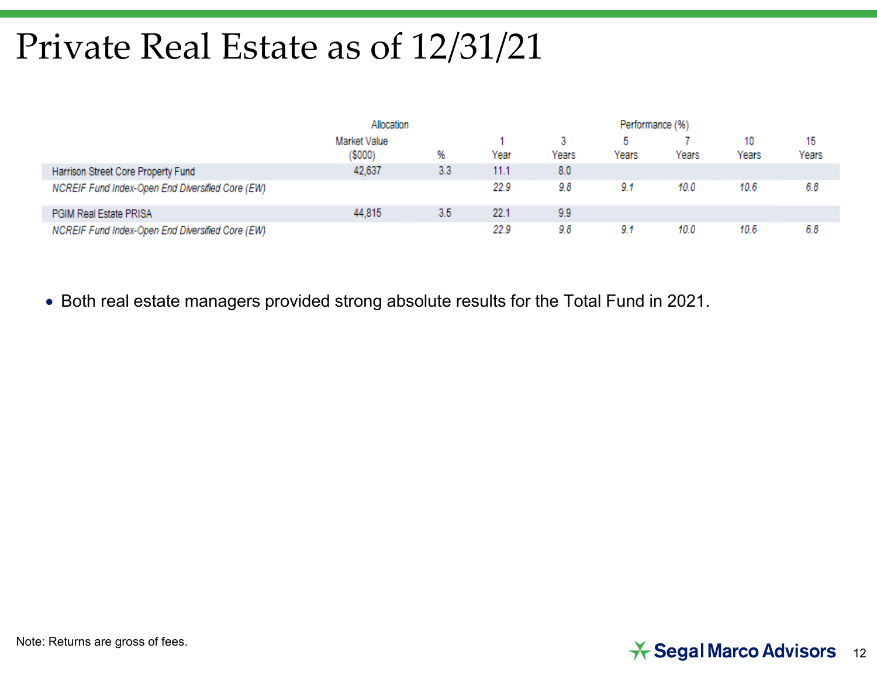## Private Real Estate as of 12/31/21

|                                                  | Allocation   |     |      |       |       |       |       |       |
|--------------------------------------------------|--------------|-----|------|-------|-------|-------|-------|-------|
|                                                  | Market Value |     |      |       |       |       | 10    | 15    |
|                                                  | (\$000)      | %   | Year | Years | Years | Years | Years | Years |
| Harrison Street Core Property Fund               | 42,637       | 3.3 | 11.1 | 8.0   |       |       |       |       |
| NCREIF Fund Index-Open End Diversified Core (EW) |              |     | 22.9 | 9.8   | 9.1   | 10.0  | 10.6  | 6.8   |
| PGIM Real Estate PRISA                           | 44,815       | 3.5 | 22.1 | 9.9   |       |       |       |       |
| NCREIF Fund Index-Open End Diversified Core (EW) |              |     | 22.9 | 9.8   | 9.1   | 10.0  | 10.6  | 6.8   |

Both real estate managers provided strong absolute results for the Total Fund in 2021.